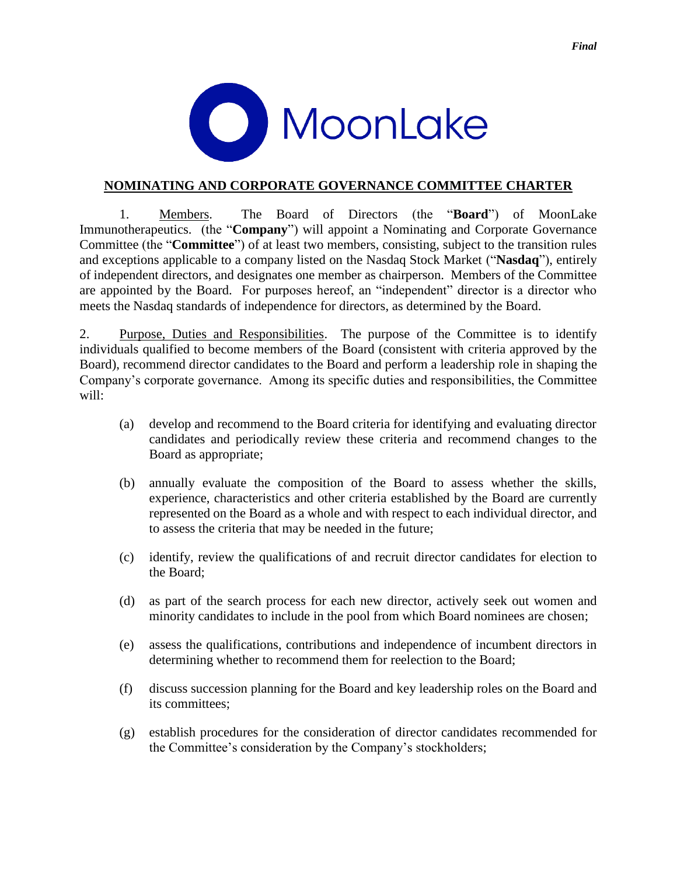



## **NOMINATING AND CORPORATE GOVERNANCE COMMITTEE CHARTER**

1. Members. The Board of Directors (the "**Board**") of MoonLake Immunotherapeutics. (the "**Company**") will appoint a Nominating and Corporate Governance Committee (the "**Committee**") of at least two members, consisting, subject to the transition rules and exceptions applicable to a company listed on the Nasdaq Stock Market ("**Nasdaq**"), entirely of independent directors, and designates one member as chairperson. Members of the Committee are appointed by the Board. For purposes hereof, an "independent" director is a director who meets the Nasdaq standards of independence for directors, as determined by the Board.

2. Purpose, Duties and Responsibilities. The purpose of the Committee is to identify individuals qualified to become members of the Board (consistent with criteria approved by the Board), recommend director candidates to the Board and perform a leadership role in shaping the Company's corporate governance. Among its specific duties and responsibilities, the Committee will:

- (a) develop and recommend to the Board criteria for identifying and evaluating director candidates and periodically review these criteria and recommend changes to the Board as appropriate;
- (b) annually evaluate the composition of the Board to assess whether the skills, experience, characteristics and other criteria established by the Board are currently represented on the Board as a whole and with respect to each individual director, and to assess the criteria that may be needed in the future;
- (c) identify, review the qualifications of and recruit director candidates for election to the Board;
- (d) as part of the search process for each new director, actively seek out women and minority candidates to include in the pool from which Board nominees are chosen;
- (e) assess the qualifications, contributions and independence of incumbent directors in determining whether to recommend them for reelection to the Board;
- (f) discuss succession planning for the Board and key leadership roles on the Board and its committees;
- (g) establish procedures for the consideration of director candidates recommended for the Committee's consideration by the Company's stockholders;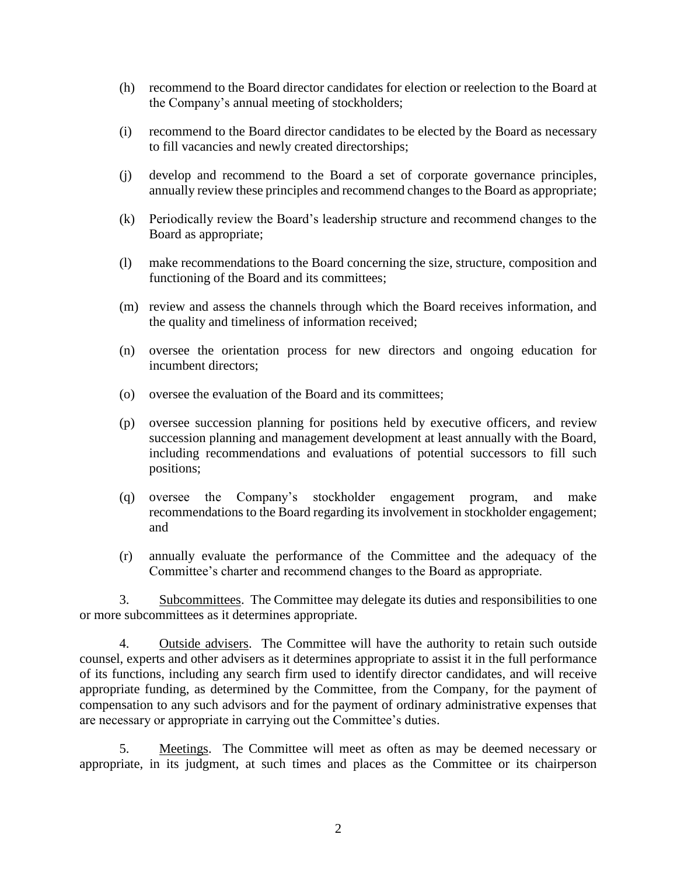- (h) recommend to the Board director candidates for election or reelection to the Board at the Company's annual meeting of stockholders;
- (i) recommend to the Board director candidates to be elected by the Board as necessary to fill vacancies and newly created directorships;
- (j) develop and recommend to the Board a set of corporate governance principles, annually review these principles and recommend changes to the Board as appropriate;
- (k) Periodically review the Board's leadership structure and recommend changes to the Board as appropriate;
- (l) make recommendations to the Board concerning the size, structure, composition and functioning of the Board and its committees;
- (m) review and assess the channels through which the Board receives information, and the quality and timeliness of information received;
- (n) oversee the orientation process for new directors and ongoing education for incumbent directors;
- (o) oversee the evaluation of the Board and its committees;
- (p) oversee succession planning for positions held by executive officers, and review succession planning and management development at least annually with the Board, including recommendations and evaluations of potential successors to fill such positions;
- (q) oversee the Company's stockholder engagement program, and make recommendations to the Board regarding its involvement in stockholder engagement; and
- (r) annually evaluate the performance of the Committee and the adequacy of the Committee's charter and recommend changes to the Board as appropriate.

3. Subcommittees. The Committee may delegate its duties and responsibilities to one or more subcommittees as it determines appropriate.

4. Outside advisers. The Committee will have the authority to retain such outside counsel, experts and other advisers as it determines appropriate to assist it in the full performance of its functions, including any search firm used to identify director candidates, and will receive appropriate funding, as determined by the Committee, from the Company, for the payment of compensation to any such advisors and for the payment of ordinary administrative expenses that are necessary or appropriate in carrying out the Committee's duties.

5. Meetings. The Committee will meet as often as may be deemed necessary or appropriate, in its judgment, at such times and places as the Committee or its chairperson